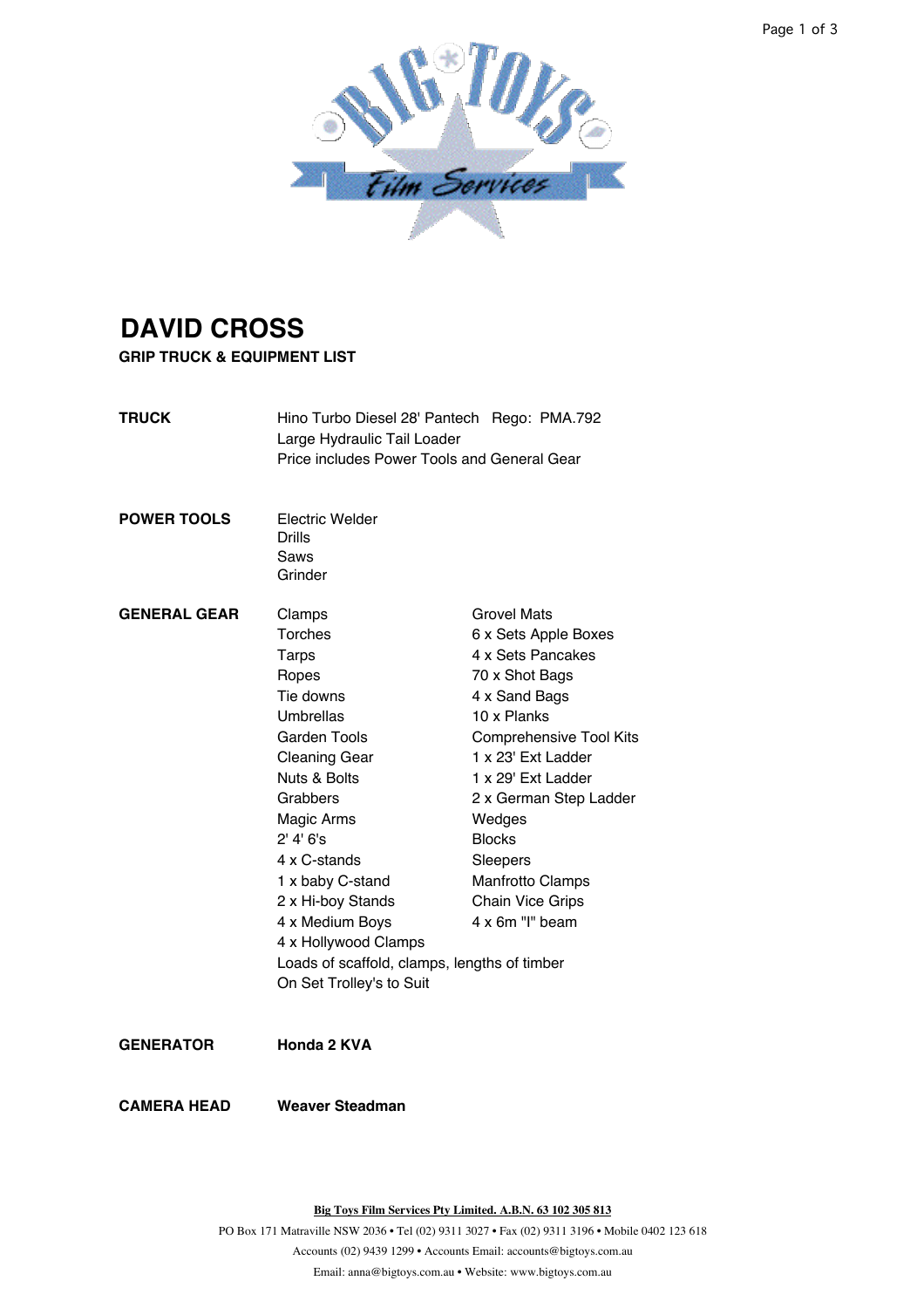

## **DAVID CROSS**

**GRIP TRUCK & EQUIPMENT LIST**

- **TRUCK** Hino Turbo Diesel 28' Pantech Rego: PMA.792 Large Hydraulic Tail Loader Price includes Power Tools and General Gear
- **POWER TOOLS** Electric Welder Drills Saws Grinder
- GENERAL GEAR Clamps Grovel Mats Torches 6 x Sets Apple Boxes Tarps 4 x Sets Pancakes Ropes 70 x Shot Bags Tie downs 4 x Sand Bags Umbrellas 10 x Planks Garden Tools Comprehensive Tool Kits Cleaning Gear 1 x 23' Ext Ladder Nuts & Bolts 1 x 29' Ext Ladder Grabbers 2 x German Step Ladder Magic Arms Wedges 2' 4' 6's Blocks 4 x C-stands Sleepers 1 x baby C-stand Manfrotto Clamps 2 x Hi-boy Stands Chain Vice Grips 4 x Medium Boys 4 x 6m "I" beam 4 x Hollywood Clamps Loads of scaffold, clamps, lengths of timber On Set Trolley's to Suit

**GENERATOR Honda 2 KVA**

**CAMERA HEAD Weaver Steadman**

**Big Toys Film Services Pty Limited. A.B.N. 63 102 305 813**

Email: anna@bigtoys.com.au • Website: www.bigtoys.com.au PO Box 171 Matraville NSW 2036 • Tel (02) 9311 3027 • Fax (02) 9311 3196 • Mobile 0402 123 618 Accounts (02) 9439 1299 • Accounts Email: accounts@bigtoys.com.au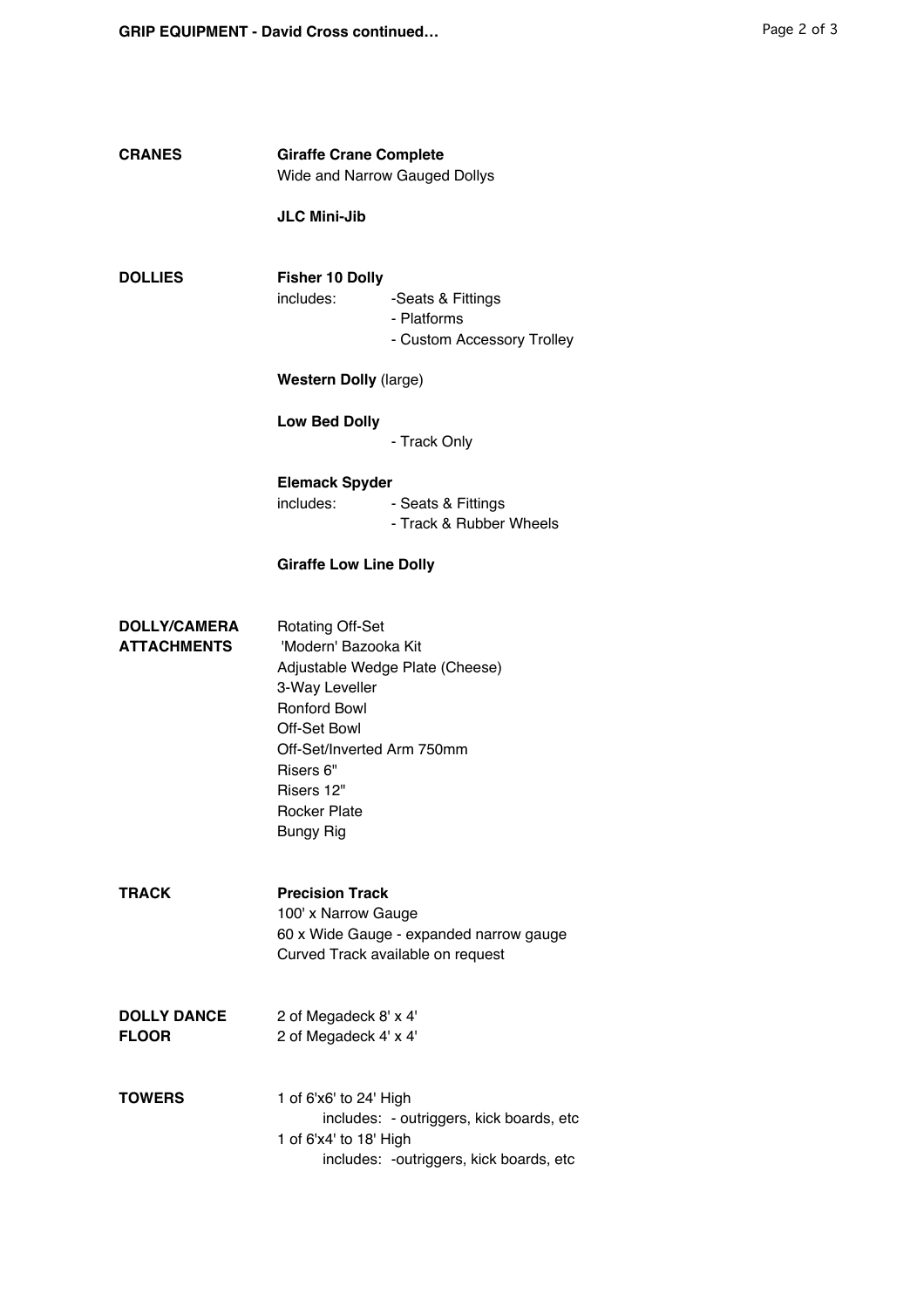| <b>CRANES</b>                             | <b>Giraffe Crane Complete</b><br>Wide and Narrow Gauged Dollys                                                                                                                                                                                  |                                                                                      |
|-------------------------------------------|-------------------------------------------------------------------------------------------------------------------------------------------------------------------------------------------------------------------------------------------------|--------------------------------------------------------------------------------------|
|                                           | <b>JLC Mini-Jib</b>                                                                                                                                                                                                                             |                                                                                      |
| <b>DOLLIES</b>                            | <b>Fisher 10 Dolly</b><br>includes:                                                                                                                                                                                                             | -Seats & Fittings<br>- Platforms<br>- Custom Accessory Trolley                       |
|                                           | <b>Western Dolly (large)</b>                                                                                                                                                                                                                    |                                                                                      |
|                                           | <b>Low Bed Dolly</b>                                                                                                                                                                                                                            | - Track Only                                                                         |
|                                           | <b>Elemack Spyder</b><br>includes:                                                                                                                                                                                                              | - Seats & Fittings<br>- Track & Rubber Wheels                                        |
|                                           | <b>Giraffe Low Line Dolly</b>                                                                                                                                                                                                                   |                                                                                      |
| <b>DOLLY/CAMERA</b><br><b>ATTACHMENTS</b> | <b>Rotating Off-Set</b><br>'Modern' Bazooka Kit<br>Adjustable Wedge Plate (Cheese)<br>3-Way Leveller<br><b>Ronford Bowl</b><br>Off-Set Bowl<br>Off-Set/Inverted Arm 750mm<br>Risers 6"<br>Risers 12"<br><b>Rocker Plate</b><br><b>Bungy Rig</b> |                                                                                      |
| TRACK                                     | <b>Precision Track</b><br>100' x Narrow Gauge<br>60 x Wide Gauge - expanded narrow gauge<br>Curved Track available on request                                                                                                                   |                                                                                      |
| <b>DOLLY DANCE</b><br><b>FLOOR</b>        | 2 of Megadeck 8' x 4'<br>2 of Megadeck 4' x 4'                                                                                                                                                                                                  |                                                                                      |
| TOWERS                                    | 1 of 6'x6' to 24' High<br>1 of 6'x4' to 18' High                                                                                                                                                                                                | includes: - outriggers, kick boards, etc<br>includes: - outriggers, kick boards, etc |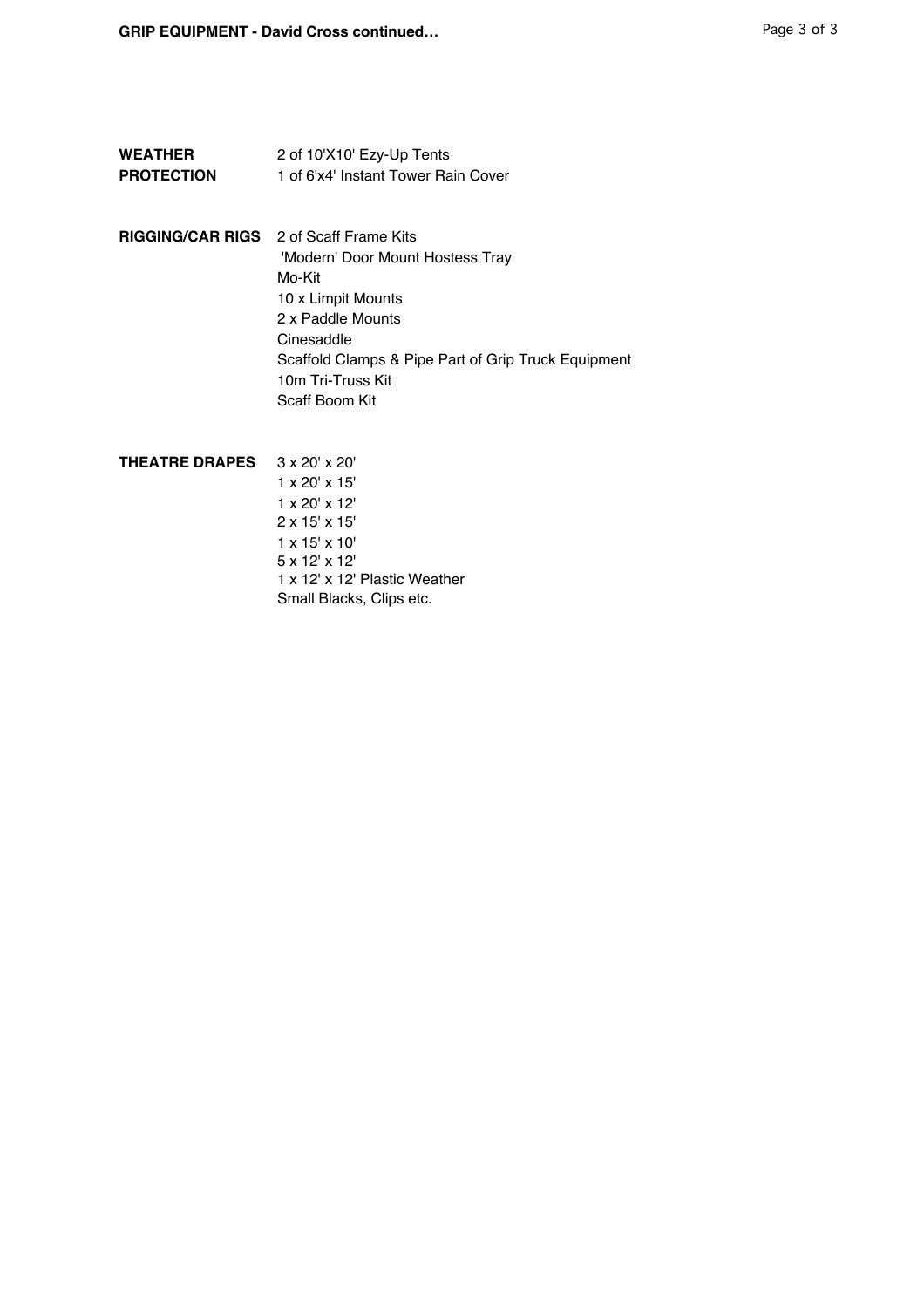| <b>WEATHER</b>    | 2 of 10'X10' Ezy-Up Tents           |
|-------------------|-------------------------------------|
| <b>PROTECTION</b> | 1 of 6'x4' Instant Tower Rain Cover |

- **RIGGING/CAR RIGS** 2 of Scaff Frame Kits 'Modern' Door Mount Hostess Tray Mo-Kit 10 x Limpit Mounts 2 x Paddle Mounts Cinesaddle Scaffold Clamps & Pipe Part of Grip Truck Equipment 10m Tri-Truss Kit Scaff Boom Kit
- **THEATRE DRAPES** 3 x 20' x 20' 1 x 20' x 15' 1 x 20' x 12' 2 x 15' x 15' 1 x 15' x 10' 5 x 12' x 12' 1 x 12' x 12' Plastic Weather Small Blacks, Clips etc.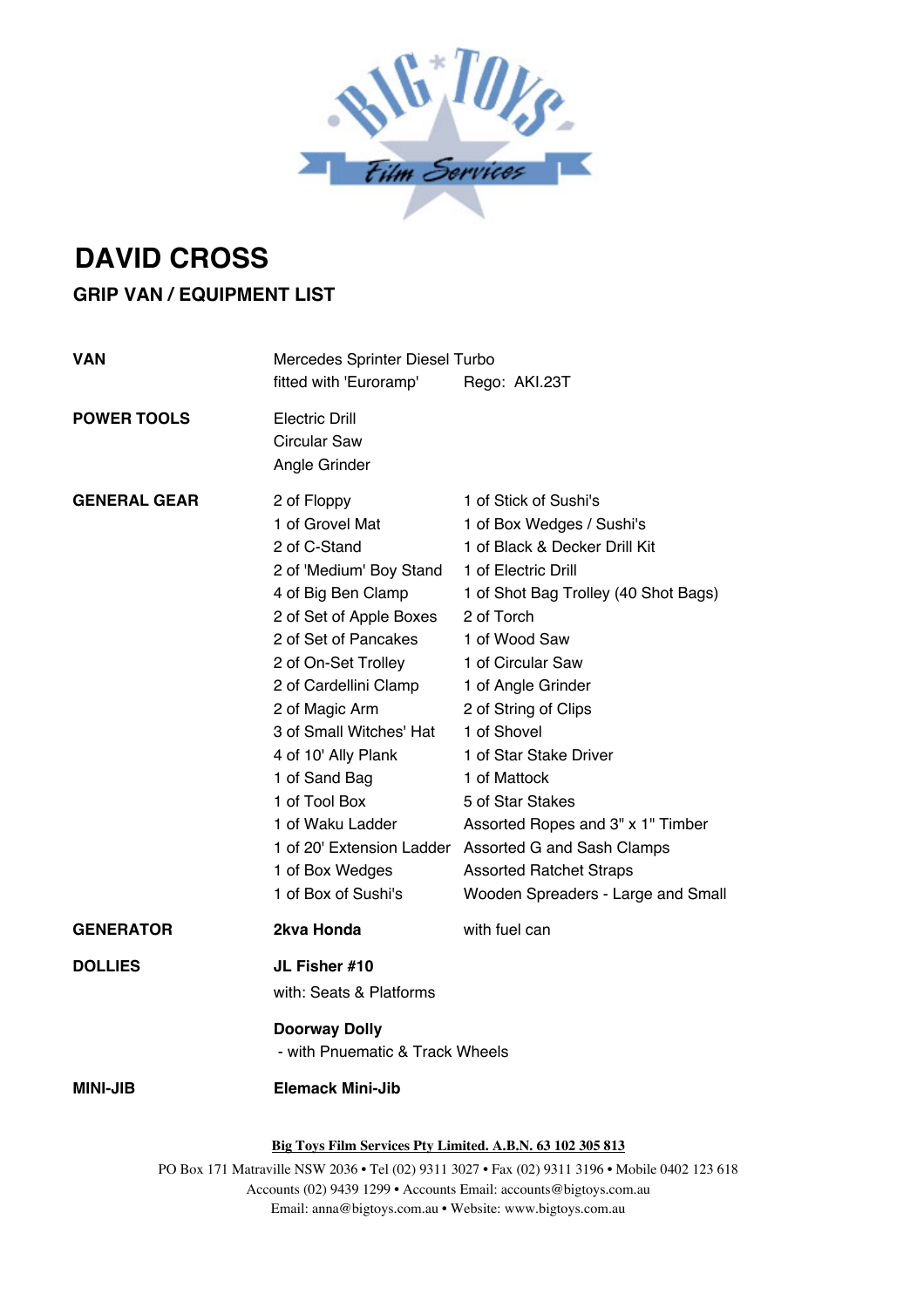

## **DAVID CROSS**

## **GRIP VAN / EQUIPMENT LIST**

| <b>VAN</b>          | Mercedes Sprinter Diesel Turbo<br>fitted with 'Euroramp'<br>Rego: AKI.23T                                                                                                                                                                                                                                                                                              |                                                                                                                                                                                                                                                                                                                                                                                                                                                                                                        |  |
|---------------------|------------------------------------------------------------------------------------------------------------------------------------------------------------------------------------------------------------------------------------------------------------------------------------------------------------------------------------------------------------------------|--------------------------------------------------------------------------------------------------------------------------------------------------------------------------------------------------------------------------------------------------------------------------------------------------------------------------------------------------------------------------------------------------------------------------------------------------------------------------------------------------------|--|
| <b>POWER TOOLS</b>  | <b>Electric Drill</b><br><b>Circular Saw</b><br>Angle Grinder                                                                                                                                                                                                                                                                                                          |                                                                                                                                                                                                                                                                                                                                                                                                                                                                                                        |  |
| <b>GENERAL GEAR</b> | 2 of Floppy<br>1 of Grovel Mat<br>2 of C-Stand<br>2 of 'Medium' Boy Stand<br>4 of Big Ben Clamp<br>2 of Set of Apple Boxes<br>2 of Set of Pancakes<br>2 of On-Set Trolley<br>2 of Cardellini Clamp<br>2 of Magic Arm<br>3 of Small Witches' Hat<br>4 of 10' Ally Plank<br>1 of Sand Bag<br>1 of Tool Box<br>1 of Waku Ladder<br>1 of Box Wedges<br>1 of Box of Sushi's | 1 of Stick of Sushi's<br>1 of Box Wedges / Sushi's<br>1 of Black & Decker Drill Kit<br>1 of Electric Drill<br>1 of Shot Bag Trolley (40 Shot Bags)<br>2 of Torch<br>1 of Wood Saw<br>1 of Circular Saw<br>1 of Angle Grinder<br>2 of String of Clips<br>1 of Shovel<br>1 of Star Stake Driver<br>1 of Mattock<br>5 of Star Stakes<br>Assorted Ropes and 3" x 1" Timber<br>1 of 20' Extension Ladder Assorted G and Sash Clamps<br><b>Assorted Ratchet Straps</b><br>Wooden Spreaders - Large and Small |  |
| <b>GENERATOR</b>    | 2kva Honda                                                                                                                                                                                                                                                                                                                                                             | with fuel can                                                                                                                                                                                                                                                                                                                                                                                                                                                                                          |  |
| <b>DOLLIES</b>      | JL Fisher #10<br>with: Seats & Platforms                                                                                                                                                                                                                                                                                                                               |                                                                                                                                                                                                                                                                                                                                                                                                                                                                                                        |  |
|                     | <b>Doorway Dolly</b><br>- with Pnuematic & Track Wheels                                                                                                                                                                                                                                                                                                                |                                                                                                                                                                                                                                                                                                                                                                                                                                                                                                        |  |
| <b>MINI-JIB</b>     | Elemack Mini-Jib                                                                                                                                                                                                                                                                                                                                                       |                                                                                                                                                                                                                                                                                                                                                                                                                                                                                                        |  |
|                     | Big Toys Film Services Pty Limited. A.B.N. 63 102 305 813                                                                                                                                                                                                                                                                                                              |                                                                                                                                                                                                                                                                                                                                                                                                                                                                                                        |  |

Email: anna@bigtoys.com.au • Website: www.bigtoys.com.au PO Box 171 Matraville NSW 2036 • Tel (02) 9311 3027 • Fax (02) 9311 3196 • Mobile 0402 123 618 Accounts (02) 9439 1299 • Accounts Email: accounts@bigtoys.com.au